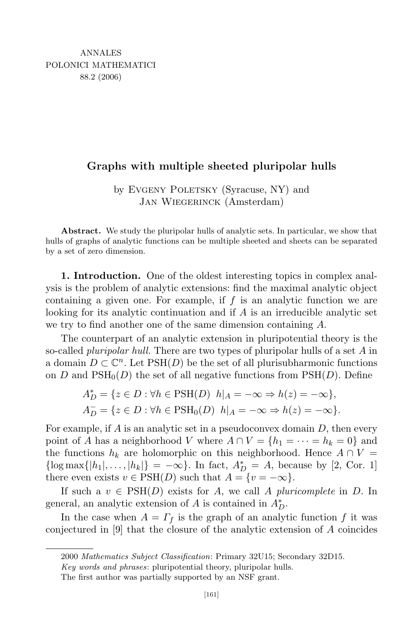## Graphs with multiple sheeted pluripolar hulls

by EVGENY POLETSKY (Syracuse, NY) and Jan Wiegerinck (Amsterdam)

Abstract. We study the pluripolar hulls of analytic sets. In particular, we show that hulls of graphs of analytic functions can be multiple sheeted and sheets can be separated by a set of zero dimension.

1. Introduction. One of the oldest interesting topics in complex analysis is the problem of analytic extensions: find the maximal analytic object containing a given one. For example, if  $f$  is an analytic function we are looking for its analytic continuation and if A is an irreducible analytic set we try to find another one of the same dimension containing A.

The counterpart of an analytic extension in pluripotential theory is the so-called *pluripolar hull*. There are two types of pluripolar hulls of a set A in a domain  $D \subset \mathbb{C}^n$ . Let  $PSH(D)$  be the set of all plurisubharmonic functions on D and  $PSH_0(D)$  the set of all negative functions from  $PSH(D)$ . Define

$$
A_D^* = \{ z \in D : \forall h \in \text{PSH}(D) \mid h|_A = -\infty \Rightarrow h(z) = -\infty \},
$$
  

$$
A_D^- = \{ z \in D : \forall h \in \text{PSH}_0(D) \mid h|_A = -\infty \Rightarrow h(z) = -\infty \}.
$$

For example, if  $A$  is an analytic set in a pseudoconvex domain  $D$ , then every point of A has a neighborhood V where  $A \cap V = \{h_1 = \cdots = h_k = 0\}$  and the functions  $h_k$  are holomorphic on this neighborhood. Hence  $A \cap V =$  $\{\log \max\{|h_1|, \ldots, |h_k|\} = -\infty\}.$  In fact,  $A_D^* = A$ , because by [2, Cor. 1] there even exists  $v \in \text{PSH}(D)$  such that  $A = \{v = -\infty\}.$ 

If such a  $v \in \text{PSH}(D)$  exists for A, we call A pluricomplete in D. In general, an analytic extension of  $A$  is contained in  $A_D^*$ .

In the case when  $A = \Gamma_f$  is the graph of an analytic function f it was conjectured in [9] that the closure of the analytic extension of A coincides

<sup>2000</sup> Mathematics Subject Classification: Primary 32U15; Secondary 32D15.

Key words and phrases: pluripotential theory, pluripolar hulls.

The first author was partially supported by an NSF grant.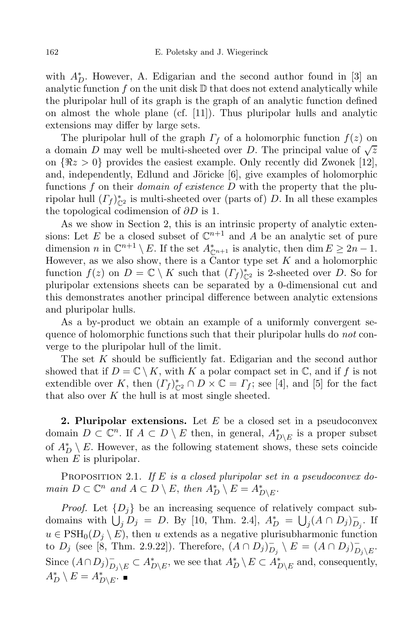with  $A_D^*$ . However, A. Edigarian and the second author found in [3] an analytic function  $f$  on the unit disk  $D$  that does not extend analytically while the pluripolar hull of its graph is the graph of an analytic function defined on almost the whole plane (cf. [11]). Thus pluripolar hulls and analytic extensions may differ by large sets.

The pluripolar hull of the graph  $\Gamma_f$  of a holomorphic function  $f(z)$  on a domain D may well be multi-sheeted over D. The principal value of  $\sqrt{z}$ on  $\{\Re z > 0\}$  provides the easiest example. Only recently did Zwonek [12], and, independently, Edlund and Jöricke  $[6]$ , give examples of holomorphic functions f on their *domain of existence*  $D$  with the property that the pluripolar hull  $(\Gamma_f)_{\mathbb{C}^2}^*$  is multi-sheeted over (parts of) D. In all these examples the topological codimension of  $\partial D$  is 1.

As we show in Section 2, this is an intrinsic property of analytic extensions: Let E be a closed subset of  $\mathbb{C}^{n+1}$  and A be an analytic set of pure dimension n in  $\mathbb{C}^{n+1} \setminus E$ . If the set  $A_{\mathbb{C}^{n+1}}^*$  is analytic, then  $\dim E \geq 2n-1$ . However, as we also show, there is a Cantor type set  $K$  and a holomorphic function  $f(z)$  on  $D = \mathbb{C} \setminus K$  such that  $(\Gamma_f)_{\mathbb{C}^2}^*$  is 2-sheeted over D. So for pluripolar extensions sheets can be separated by a 0-dimensional cut and this demonstrates another principal difference between analytic extensions and pluripolar hulls.

As a by-product we obtain an example of a uniformly convergent sequence of holomorphic functions such that their pluripolar hulls do *not* converge to the pluripolar hull of the limit.

The set K should be sufficiently fat. Edigarian and the second author showed that if  $D = \mathbb{C} \setminus K$ , with K a polar compact set in  $\mathbb{C}$ , and if f is not extendible over K, then  $(\Gamma_f)_{\mathbb{C}^2}^* \cap D \times \mathbb{C} = \Gamma_f$ ; see [4], and [5] for the fact that also over  $K$  the hull is at most single sheeted.

**2. Pluripolar extensions.** Let  $E$  be a closed set in a pseudoconvex domain  $D \subset \mathbb{C}^n$ . If  $A \subset D \setminus E$  then, in general,  $A^*_{D \setminus E}$  is a proper subset of  $A_D^* \setminus E$ . However, as the following statement shows, these sets coincide when  $E$  is pluripolar.

PROPOSITION 2.1. If E is a closed pluripolar set in a pseudoconvex domain  $D \subset \mathbb{C}^n$  and  $A \subset D \setminus E$ , then  $A_D^* \setminus E = A_{D \setminus E}^*$ .

*Proof.* Let  $\{D_i\}$  be an increasing sequence of relatively compact subdomains with  $\dot{U}_j \dot{D}_j = D$ . By [10, Thm. 2.4],  $A_D^* = U_j (A \cap D_j)_{D_j}^-$ . If  $u \in \text{PSH}_0(D_j \setminus E)$ , then u extends as a negative plurisubharmonic function to  $D_j$  (see [8, Thm. 2.9.22]). Therefore,  $(A \cap D_j)_{D_j}^- \setminus E = (A \cap D_j)_{D_j}^ \overset{-}{D_{j}\setminus E}\cdot$ Since  $(A \cap D_j)_{D_j \setminus E}^- \subset A_{D \setminus E}^*$ , we see that  $A_D^* \setminus E \subset A_{D \setminus E}^*$  and, consequently,  $A_D^* \setminus E = A_{D \setminus E}^*$ .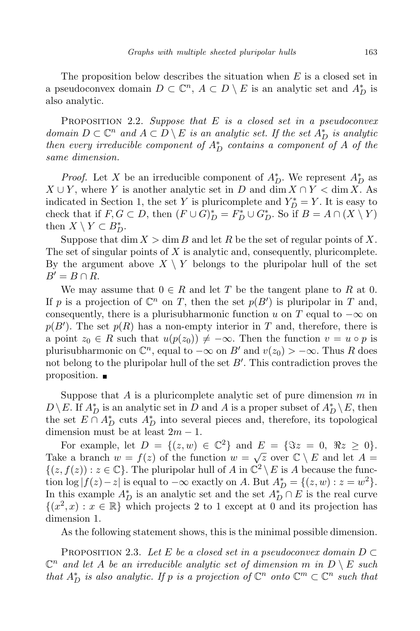The proposition below describes the situation when  $E$  is a closed set in a pseudoconvex domain  $D \subset \mathbb{C}^n$ ,  $A \subset D \setminus E$  is an analytic set and  $A_D^*$  is also analytic.

PROPOSITION 2.2. Suppose that  $E$  is a closed set in a pseudoconvex domain  $D \subset \mathbb{C}^n$  and  $A \subset D \setminus E$  is an analytic set. If the set  $A_D^*$  is analytic then every irreducible component of  $A_D^*$  contains a component of A of the same dimension.

*Proof.* Let X be an irreducible component of  $A_D^*$ . We represent  $A_D^*$  as  $X \cup Y$ , where Y is another analytic set in D and dim  $X \cap Y <$  dim X. As indicated in Section 1, the set Y is pluricomplete and  $Y_D^* = Y$ . It is easy to check that if  $F, G \subset D$ , then  $(F \cup G)_D^* = F_D^* \cup G_D^*$ . So if  $B = A \cap (X \setminus Y)$ then  $X \setminus Y \subset B_D^*$ .

Suppose that dim  $X > \dim B$  and let R be the set of regular points of X. The set of singular points of  $X$  is analytic and, consequently, pluricomplete. By the argument above  $X \setminus Y$  belongs to the pluripolar hull of the set  $B'=B\cap R$ .

We may assume that  $0 \in R$  and let T be the tangent plane to R at 0. If p is a projection of  $\mathbb{C}^n$  on T, then the set  $p(B')$  is pluripolar in T and, consequently, there is a plurisubharmonic function u on T equal to  $-\infty$  on  $p(B')$ . The set  $p(R)$  has a non-empty interior in T and, therefore, there is a point  $z_0 \in R$  such that  $u(p(z_0)) \neq -\infty$ . Then the function  $v = u \circ p$  is plurisubharmonic on  $\mathbb{C}^n$ , equal to  $-\infty$  on  $B'$  and  $v(z_0) > -\infty$ . Thus R does not belong to the pluripolar hull of the set  $B'$ . This contradiction proves the proposition.

Suppose that A is a pluricomplete analytic set of pure dimension  $m$  in  $D \setminus E$ . If  $A_D^*$  is an analytic set in D and A is a proper subset of  $A_D^* \setminus E$ , then the set  $E \cap A_D^*$  cuts  $A_D^*$  into several pieces and, therefore, its topological dimension must be at least  $2m - 1$ .

For example, let  $D = \{(z, w) \in \mathbb{C}^2\}$  and  $E = \{\Im z = 0, \Re z \ge 0\}.$ Take a branch  $w = f(z)$  of the function  $w = \sqrt{z}$  over  $\mathbb{C} \setminus E$  and let  $A =$  $\{(z, f(z)) : z \in \mathbb{C}\}.$  The pluripolar hull of A in  $\mathbb{C}^2 \setminus E$  is A because the function log  $|f(z) - z|$  is equal to  $-\infty$  exactly on A. But  $A_D^* = \{(z, w) : z = w^2\}.$ In this example  $A_D^*$  is an analytic set and the set  $A_D^* \cap E$  is the real curve  $\{(x^2, x) : x \in \mathbb{R}\}\$  which projects 2 to 1 except at 0 and its projection has dimension 1.

As the following statement shows, this is the minimal possible dimension.

PROPOSITION 2.3. Let E be a closed set in a pseudoconvex domain  $D \subset$  $\mathbb{C}^n$  and let A be an irreducible analytic set of dimension m in  $D \setminus E$  such that  $A_D^*$  is also analytic. If p is a projection of  $\mathbb{C}^n$  onto  $\mathbb{C}^m \subset \mathbb{C}^n$  such that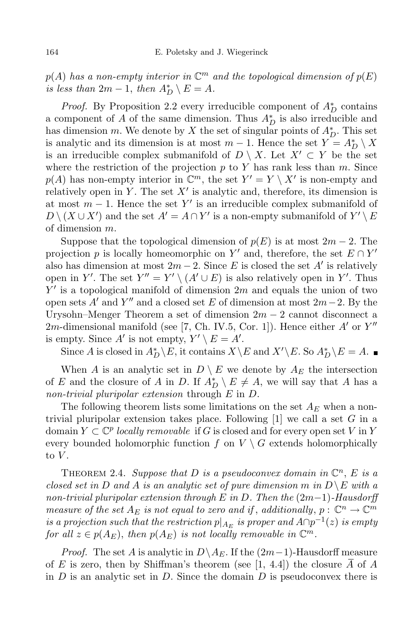$p(A)$  has a non-empty interior in  $\mathbb{C}^m$  and the topological dimension of  $p(E)$ is less than  $2m-1$ , then  $A_D^* \setminus E = A$ .

*Proof.* By Proposition 2.2 every irreducible component of  $A_D^*$  contains a component of A of the same dimension. Thus  $A_D^*$  is also irreducible and has dimension m. We denote by X the set of singular points of  $A_D^*$ . This set is analytic and its dimension is at most  $m-1$ . Hence the set  $Y = A_D^* \setminus X$ is an irreducible complex submanifold of  $D \setminus X$ . Let  $X' \subset Y$  be the set where the restriction of the projection  $p$  to  $Y$  has rank less than  $m$ . Since  $p(A)$  has non-empty interior in  $\mathbb{C}^m$ , the set  $Y' = Y \setminus X'$  is non-empty and relatively open in Y. The set  $X'$  is analytic and, therefore, its dimension is at most  $m-1$ . Hence the set Y' is an irreducible complex submanifold of  $D \setminus (X \cup X')$  and the set  $A' = A \cap Y'$  is a non-empty submanifold of  $Y' \setminus E$ of dimension m.

Suppose that the topological dimension of  $p(E)$  is at most  $2m-2$ . The projection p is locally homeomorphic on Y' and, therefore, the set  $E \cap Y'$ also has dimension at most  $2m-2$ . Since E is closed the set A' is relatively open in Y'. The set  $Y'' = Y' \setminus (A' \cup E)$  is also relatively open in Y'. Thus  $Y'$  is a topological manifold of dimension  $2m$  and equals the union of two open sets  $A'$  and  $Y''$  and a closed set E of dimension at most  $2m-2$ . By the Urysohn–Menger Theorem a set of dimension  $2m - 2$  cannot disconnect a 2m-dimensional manifold (see [7, Ch. IV.5, Cor. 1]). Hence either  $A'$  or  $Y''$ is empty. Since  $A'$  is not empty,  $Y' \setminus E = A'$ .

Since A is closed in  $A_D^* \backslash E$ , it contains  $X \backslash E$  and  $X' \backslash E$ . So  $A_D^* \backslash E = A$ .

When A is an analytic set in  $D \setminus E$  we denote by  $A_E$  the intersection of E and the closure of A in D. If  $A_D^* \setminus E \neq A$ , we will say that A has a non-trivial pluripolar extension through E in D.

The following theorem lists some limitations on the set  $A_E$  when a nontrivial pluripolar extension takes place. Following  $[1]$  we call a set G in a domain  $Y \subset \mathbb{C}^p$  locally removable if G is closed and for every open set V in Y every bounded holomorphic function f on  $V \setminus G$  extends holomorphically to  $V$ .

THEOREM 2.4. Suppose that D is a pseudoconvex domain in  $\mathbb{C}^n$ , E is a closed set in D and A is an analytic set of pure dimension m in  $D \setminus E$  with a non-trivial pluripolar extension through E in D. Then the  $(2m-1)$ -Hausdorff measure of the set  $A_E$  is not equal to zero and if, additionally,  $p: \mathbb{C}^n \to \mathbb{C}^m$ is a projection such that the restriction  $p|_{A_E}$  is proper and  $A \cap p^{-1}(z)$  is empty for all  $z \in p(A_E)$ , then  $p(A_E)$  is not locally removable in  $\mathbb{C}^m$ .

*Proof.* The set A is analytic in  $D \setminus A_E$ . If the  $(2m-1)$ -Hausdorff measure of E is zero, then by Shiffman's theorem (see [1, 4.4]) the closure A of A in  $D$  is an analytic set in  $D$ . Since the domain  $D$  is pseudoconvex there is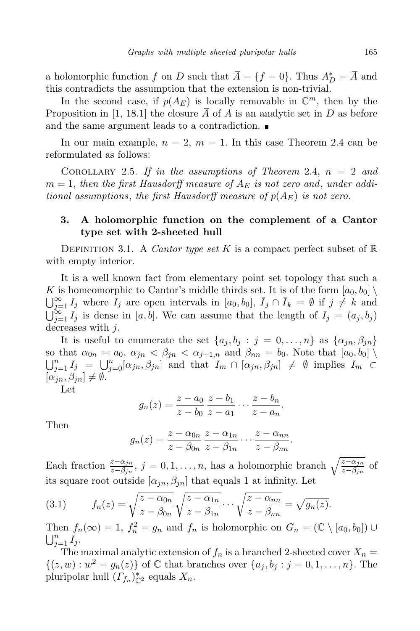a holomorphic function f on D such that  $\overline{A} = \{f = 0\}$ . Thus  $A_D^* = \overline{A}$  and this contradicts the assumption that the extension is non-trivial.

In the second case, if  $p(A_E)$  is locally removable in  $\mathbb{C}^m$ , then by the Proposition in [1, 18.1] the closure  $\overline{A}$  of A is an analytic set in D as before and the same argument leads to a contradiction.

In our main example,  $n = 2$ ,  $m = 1$ . In this case Theorem 2.4 can be reformulated as follows:

COROLLARY 2.5. If in the assumptions of Theorem 2.4,  $n = 2$  and  $m = 1$ , then the first Hausdorff measure of  $A_E$  is not zero and, under additional assumptions, the first Hausdorff measure of  $p(A_E)$  is not zero.

## 3. A holomorphic function on the complement of a Cantor type set with 2-sheeted hull

DEFINITION 3.1. A Cantor type set K is a compact perfect subset of  $\mathbb R$ with empty interior.

It is a well known fact from elementary point set topology that such a K is homeomorphic to Cantor's middle thirds set. It is of the form  $[a_0, b_0] \setminus$  $\bigcup_{j=1}^{\infty} I_j$  where  $I_j$  are open intervals in  $[a_0, b_0], \bar{I}_j \cap \bar{I}_k = \emptyset$  if  $j \neq k$  and  $\bigcup_{j=1}^{\infty} I_j$  is dense in [a, b]. We can assume that the length of  $I_j = (a_j, b_j)$ decreases with j.

It is useful to enumerate the set  $\{a_j, b_j : j = 0, \ldots, n\}$  as  $\{\alpha_{jn}, \beta_{jn}\}\$ so that  $\alpha_{0n} = a_0$ ,  $\alpha_{jn} < \beta_{jn} < \alpha_{j+1,n}$  and  $\beta_{nn} = b_0$ . Note that  $[a_0, b_0]$  $\bigcup_{j=1}^n I_j = \bigcup_{j=0}^n [\alpha_{jn}, \beta_{jn}]$  and that  $I_m \cap [\alpha_{jn}, \beta_{jn}] \neq \emptyset$  implies  $I_m \subset$  $[\alpha_{in}, \beta_{in}] \neq \emptyset.$ 

Let

$$
g_n(z) = \frac{z - a_0}{z - b_0} \frac{z - b_1}{z - a_1} \cdots \frac{z - b_n}{z - a_n}.
$$

Then

$$
g_n(z)=\frac{z-\alpha_{0n}}{z-\beta_{0n}}\frac{z-\alpha_{1n}}{z-\beta_{1n}}\cdots\frac{z-\alpha_{nn}}{z-\beta_{nn}}.
$$

Each fraction  $\frac{z-\alpha_{jn}}{z-\beta_{jn}}$ ,  $j=0,1,\ldots,n$ , has a holomorphic branch  $\sqrt{\frac{z-\alpha_{jn}}{z-\beta_{jn}}}$  of its square root outside  $[\alpha_{jn}, \beta_{jn}]$  that equals 1 at infinity. Let

(3.1) 
$$
f_n(z) = \sqrt{\frac{z - \alpha_{0n}}{z - \beta_{0n}}} \sqrt{\frac{z - \alpha_{1n}}{z - \beta_{1n}}} \cdots \sqrt{\frac{z - \alpha_{nn}}{z - \beta_{nn}}} = \sqrt{g_n(z)}.
$$

Then  $f_n(\infty) = 1$ ,  $f_n^2 = g_n$  and  $f_n$  is holomorphic on  $G_n = (\mathbb{C} \setminus [a_0, b_0]) \cup$  $\bigcup_{j=1}^n I_j$ .

The maximal analytic extension of  $f_n$  is a branched 2-sheeted cover  $X_n =$  $\{(z, w) : w^2 = g_n(z)\}\$  of  $\mathbb C$  that branches over  $\{a_j, b_j : j = 0, 1, ..., n\}$ . The pluripolar hull  $(\Gamma_{f_n})_{\mathbb{C}^2}^*$  equals  $X_n$ .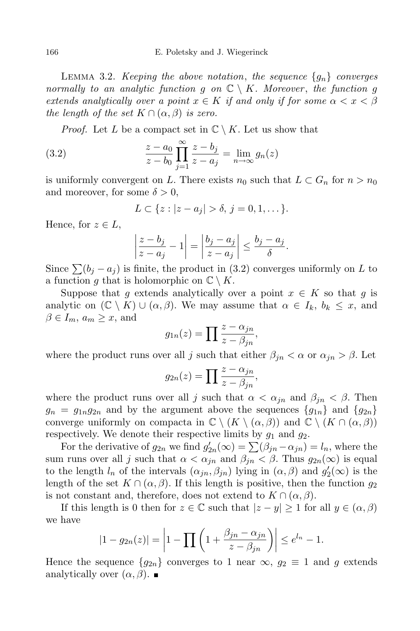LEMMA 3.2. Keeping the above notation, the sequence  $\{g_n\}$  converges normally to an analytic function q on  $\mathbb{C} \setminus K$ . Moreover, the function q extends analytically over a point  $x \in K$  if and only if for some  $\alpha < x < \beta$ the length of the set  $K \cap (\alpha, \beta)$  is zero.

*Proof.* Let L be a compact set in  $\mathbb{C} \setminus K$ . Let us show that

(3.2) 
$$
\frac{z - a_0}{z - b_0} \prod_{j=1}^{\infty} \frac{z - b_j}{z - a_j} = \lim_{n \to \infty} g_n(z)
$$

is uniformly convergent on L. There exists  $n_0$  such that  $L \subset G_n$  for  $n > n_0$ and moreover, for some  $\delta > 0$ ,

$$
L \subset \{z : |z - a_j| > \delta, \, j = 0, 1, \dots\}.
$$

Hence, for  $z \in L$ ,

$$
\left|\frac{z-b_j}{z-a_j} - 1\right| = \left|\frac{b_j - a_j}{z-a_j}\right| \le \frac{b_j - a_j}{\delta}
$$

.

Since  $\sum (b_i - a_i)$  is finite, the product in (3.2) converges uniformly on L to a function g that is holomorphic on  $\mathbb{C} \setminus K$ .

Suppose that g extends analytically over a point  $x \in K$  so that g is analytic on  $(\mathbb{C} \setminus K) \cup (\alpha, \beta)$ . We may assume that  $\alpha \in I_k$ ,  $b_k \leq x$ , and  $\beta \in I_m$ ,  $a_m \geq x$ , and

$$
g_{1n}(z) = \prod \frac{z - \alpha_{jn}}{z - \beta_{jn}},
$$

where the product runs over all j such that either  $\beta_{jn} < \alpha$  or  $\alpha_{jn} > \beta$ . Let

$$
g_{2n}(z) = \prod \frac{z - \alpha_{jn}}{z - \beta_{jn}},
$$

where the product runs over all j such that  $\alpha < \alpha_{jn}$  and  $\beta_{jn} < \beta$ . Then  $g_n = g_{1n}g_{2n}$  and by the argument above the sequences  ${g_{1n}}$  and  ${g_{2n}}$ converge uniformly on compacta in  $\mathbb{C} \setminus (K \setminus (\alpha, \beta))$  and  $\mathbb{C} \setminus (K \cap (\alpha, \beta))$ respectively. We denote their respective limits by  $g_1$  and  $g_2$ .

For the derivative of  $g_{2n}$  we find  $g'_{2n}(\infty) = \sum_{n=0}^{\infty} (\beta_{jn} - \alpha_{jn}) = l_n$ , where the sum runs over all j such that  $\alpha < \alpha_{jn}$  and  $\beta_{jn} < \beta$ . Thus  $g_{2n}(\infty)$  is equal to the length  $l_n$  of the intervals  $(\alpha_{jn}, \beta_{jn})$  lying in  $(\alpha, \beta)$  and  $g'_2(\infty)$  is the length of the set  $K \cap (\alpha, \beta)$ . If this length is positive, then the function  $g_2$ is not constant and, therefore, does not extend to  $K \cap (\alpha, \beta)$ .

If this length is 0 then for  $z \in \mathbb{C}$  such that  $|z - y| \geq 1$  for all  $y \in (\alpha, \beta)$ we have

$$
|1 - g_{2n}(z)| = \left| 1 - \prod_{n=1}^{\infty} \left( 1 + \frac{\beta_{jn} - \alpha_{jn}}{z - \beta_{jn}} \right) \right| \le e^{l_n} - 1.
$$

Hence the sequence  ${g_{2n}}$  converges to 1 near  $\infty, g_2 \equiv 1$  and g extends analytically over  $(\alpha, \beta)$ .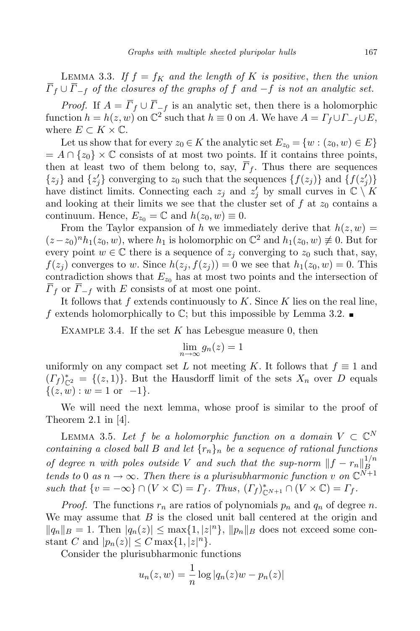LEMMA 3.3. If  $f = f_K$  and the length of K is positive, then the union  $\overline{\Gamma}_f \cup \overline{\Gamma}_{-f}$  of the closures of the graphs of f and  $-f$  is not an analytic set.

*Proof.* If  $A = \overline{\Gamma}_f \cup \overline{\Gamma}_{-f}$  is an analytic set, then there is a holomorphic function  $h = h(z, w)$  on  $\mathbb{C}^2$  such that  $h \equiv 0$  on A. We have  $A = \Gamma_f \cup \Gamma_{-f} \cup E$ , where  $E \subset K \times \mathbb{C}$ .

Let us show that for every  $z_0 \in K$  the analytic set  $E_{z_0} = \{w : (z_0, w) \in E\}$  $= A \cap \{z_0\} \times \mathbb{C}$  consists of at most two points. If it contains three points, then at least two of them belong to, say,  $\overline{F}_f$ . Thus there are sequences  $\{z_j\}$  and  $\{z'_j\}$  converging to  $z_0$  such that the sequences  $\{f(z_j)\}$  and  $\{f(z'_j)\}$ have distinct limits. Connecting each  $z_j$  and  $z'_j$  by small curves in  $\mathbb{C} \setminus K$ and looking at their limits we see that the cluster set of  $f$  at  $z_0$  contains a continuum. Hence,  $E_{z_0} = \mathbb{C}$  and  $h(z_0, w) \equiv 0$ .

From the Taylor expansion of h we immediately derive that  $h(z, w) =$  $(z-z_0)^n h_1(z_0, w)$ , where  $h_1$  is holomorphic on  $\mathbb{C}^2$  and  $h_1(z_0, w) \neq 0$ . But for every point  $w \in \mathbb{C}$  there is a sequence of  $z_i$  converging to  $z_0$  such that, say,  $f(z_i)$  converges to w. Since  $h(z_i, f(z_i)) = 0$  we see that  $h_1(z_0, w) = 0$ . This contradiction shows that  $E_{z_0}$  has at most two points and the intersection of  $\Gamma_f$  or  $\Gamma_{-f}$  with E consists of at most one point.

It follows that  $f$  extends continuously to  $K$ . Since  $K$  lies on the real line, f extends holomorphically to  $\mathbb{C}$ ; but this impossible by Lemma 3.2.

EXAMPLE 3.4. If the set K has Lebesgue measure 0, then

$$
\lim_{n \to \infty} g_n(z) = 1
$$

uniformly on any compact set L not meeting K. It follows that  $f \equiv 1$  and  $(I_f)_{\mathbb{C}^2}^* = \{(z, 1)\}\.$  But the Hausdorff limit of the sets  $X_n$  over D equals  $\{(z, w) : w = 1 \text{ or } -1\}.$ 

We will need the next lemma, whose proof is similar to the proof of Theorem 2.1 in  $[4]$ .

LEMMA 3.5. Let  $f$  be a holomorphic function on a domain  $V \subset \mathbb{C}^N$ containing a closed ball B and let  $\{r_n\}_n$  be a sequence of rational functions of degree n with poles outside V and such that the sup-norm  $||f - r_n||_B^{1/n}$ B tends to 0 as  $n \to \infty$ . Then there is a plurisubharmonic function v on  $\mathbb{C}^{N+1}$ such that  $\{v = -\infty\} \cap (V \times \mathbb{C}) = \Gamma_f$ . Thus,  $(\Gamma_f)_{\mathbb{C}^{N+1}}^* \cap (V \times \mathbb{C}) = \Gamma_f$ .

*Proof.* The functions  $r_n$  are ratios of polynomials  $p_n$  and  $q_n$  of degree n. We may assume that  $B$  is the closed unit ball centered at the origin and  $||q_n||_B = 1$ . Then  $|q_n(z)| \leq \max\{1, |z|^n\}$ ,  $||p_n||_B$  does not exceed some constant C and  $|p_n(z)| \leq C \max\{1, |z|^n\}.$ 

Consider the plurisubharmonic functions

$$
u_n(z, w) = \frac{1}{n} \log |q_n(z)w - p_n(z)|
$$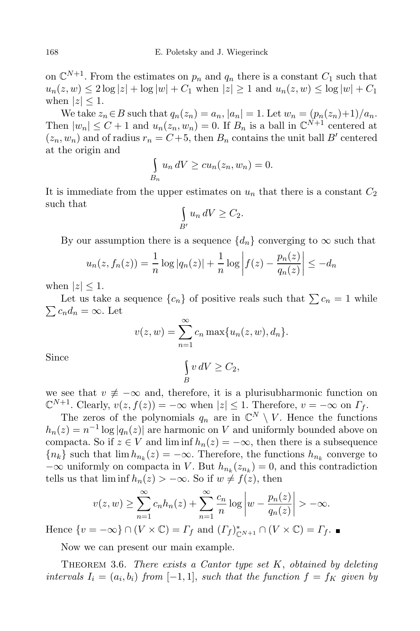on  $\mathbb{C}^{N+1}$ . From the estimates on  $p_n$  and  $q_n$  there is a constant  $C_1$  such that  $u_n(z, w) \leq 2 \log |z| + \log |w| + C_1$  when  $|z| \geq 1$  and  $u_n(z, w) \leq \log |w| + C_1$ when  $|z| \leq 1$ .

We take  $z_n \in B$  such that  $q_n(z_n) = a_n$ ,  $|a_n| = 1$ . Let  $w_n = (p_n(z_n)+1)/a_n$ . Then  $|w_n| \leq C + 1$  and  $u_n(z_n, w_n) = 0$ . If  $B_n$  is a ball in  $\mathbb{C}^{N+1}$  centered at  $(z_n, w_n)$  and of radius  $r_n = C + 5$ , then  $B_n$  contains the unit ball B' centered at the origin and

$$
\int_{B_n} u_n dV \ge cu_n(z_n, w_n) = 0.
$$

It is immediate from the upper estimates on  $u_n$  that there is a constant  $C_2$ such that

$$
\int_{B'} u_n dV \ge C_2.
$$

By our assumption there is a sequence  $\{d_n\}$  converging to  $\infty$  such that

$$
u_n(z, f_n(z)) = \frac{1}{n} \log |q_n(z)| + \frac{1}{n} \log |f(z) - \frac{p_n(z)}{q_n(z)}| \le -d_n
$$

when  $|z| \leq 1$ .

Let us take a sequence  $\{c_n\}$  of positive reals such that  $\sum c_n = 1$  while  $\sum c_n d_n = \infty$ . Let

$$
v(z, w) = \sum_{n=1}^{\infty} c_n \max\{u_n(z, w), d_n\}.
$$

Since \

$$
\int\limits_B v\,dV \geq C_2,
$$

we see that  $v \neq -\infty$  and, therefore, it is a plurisubharmonic function on  $\mathbb{C}^{N+1}$ . Clearly,  $v(z, f(z)) = -\infty$  when  $|z| \leq 1$ . Therefore,  $v = -\infty$  on  $\Gamma_f$ .

The zeros of the polynomials  $q_n$  are in  $\mathbb{C}^N \setminus V$ . Hence the functions  $h_n(z) = n^{-1} \log |q_n(z)|$  are harmonic on V and uniformly bounded above on compacta. So if  $z \in V$  and lim inf  $h_n(z) = -\infty$ , then there is a subsequence  ${n_k}$  such that  $\lim h_{n_k}(z) = -\infty$ . Therefore, the functions  $h_{n_k}$  converge to  $-\infty$  uniformly on compacta in V. But  $h_{n_k}(z_{n_k})=0$ , and this contradiction tells us that  $\liminf h_n(z) > -\infty$ . So if  $w \neq f(z)$ , then

$$
v(z, w) \ge \sum_{n=1}^{\infty} c_n h_n(z) + \sum_{n=1}^{\infty} \frac{c_n}{n} \log \left| w - \frac{p_n(z)}{q_n(z)} \right| > -\infty.
$$

Hence  $\{v = -\infty\} \cap (V \times \mathbb{C}) = \Gamma_f$  and  $(\Gamma_f)_{\mathbb{C}^{N+1}}^* \cap (V \times \mathbb{C}) = \Gamma_f$ .

Now we can present our main example.

THEOREM 3.6. There exists a Cantor type set  $K$ , obtained by deleting intervals  $I_i = (a_i, b_i)$  from  $[-1, 1]$ , such that the function  $f = f_K$  given by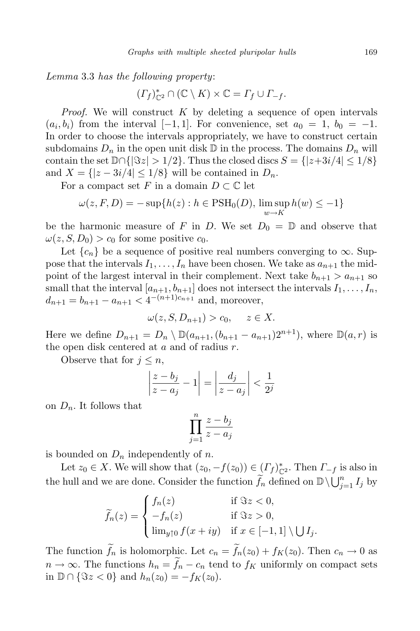Lemma 3.3 has the following property:

$$
(\varGamma_f)_{\mathbb{C}^2}^*\cap(\mathbb{C}\setminus K)\times\mathbb{C}=\varGamma_f\cup\varGamma_{-f}.
$$

*Proof.* We will construct  $K$  by deleting a sequence of open intervals  $(a_i, b_i)$  from the interval  $[-1, 1]$ . For convenience, set  $a_0 = 1$ ,  $b_0 = -1$ . In order to choose the intervals appropriately, we have to construct certain subdomains  $D_n$  in the open unit disk  $\mathbb D$  in the process. The domains  $D_n$  will contain the set  $\mathbb{D}\cap\{|\Im z| > 1/2\}$ . Thus the closed discs  $S = \{|z+3i/4| \leq 1/8\}$ and  $X = \{ |z - 3i/4| \leq 1/8 \}$  will be contained in  $D_n$ .

For a compact set F in a domain  $D \subset \mathbb{C}$  let

$$
\omega(z, F, D) = -\sup\{h(z) : h \in \text{PSH}_0(D), \limsup_{w \to K} h(w) \le -1\}
$$

be the harmonic measure of F in D. We set  $D_0 = \mathbb{D}$  and observe that  $\omega(z, S, D_0) > c_0$  for some positive  $c_0$ .

Let  ${c_n}$  be a sequence of positive real numbers converging to  $\infty$ . Suppose that the intervals  $I_1, \ldots, I_n$  have been chosen. We take as  $a_{n+1}$  the midpoint of the largest interval in their complement. Next take  $b_{n+1} > a_{n+1}$  so small that the interval  $[a_{n+1}, b_{n+1}]$  does not intersect the intervals  $I_1, \ldots, I_n$ ,  $d_{n+1} = b_{n+1} - a_{n+1} < 4^{-(n+1)c_{n+1}}$  and, moreover,

$$
\omega(z, S, D_{n+1}) > c_0, \quad z \in X.
$$

Here we define  $D_{n+1} = D_n \setminus \mathbb{D}(a_{n+1}, (b_{n+1} - a_{n+1})2^{n+1})$ , where  $\mathbb{D}(a, r)$  is the open disk centered at  $a$  and of radius  $r$ .

Observe that for  $j \leq n$ ,

$$
\left|\frac{z-b_j}{z-a_j}-1\right| = \left|\frac{d_j}{z-a_j}\right| < \frac{1}{2^j}
$$

on  $D_n$ . It follows that

$$
\prod_{j=1}^{n} \frac{z - b_j}{z - a_j}
$$

is bounded on  $D_n$  independently of n.

Let  $z_0 \in X$ . We will show that  $(z_0, -f(z_0)) \in (I_f)_{\mathbb{C}^2}^*$ . Then  $\Gamma_{-f}$  is also in the hull and we are done. Consider the function  $\widetilde{f}_n$  defined on  $\mathbb{D}\setminus\bigcup_{j=1}^n I_j$  by

$$
\widetilde{f}_n(z) = \begin{cases}\nf_n(z) & \text{if } \Im z < 0, \\
-f_n(z) & \text{if } \Im z > 0, \\
\lim_{y \uparrow 0} f(x+iy) & \text{if } x \in [-1,1] \setminus \bigcup I_j.\n\end{cases}
$$

The function  $\tilde{f}_n$  is holomorphic. Let  $c_n = \tilde{f}_n(z_0) + f_K(z_0)$ . Then  $c_n \to 0$  as  $n \to \infty$ . The functions  $h_n = f_n - c_n$  tend to  $f_K$  uniformly on compact sets in  $\mathbb{D} \cap {\Im z < 0}$  and  $h_n(z_0) = -f_K(z_0)$ .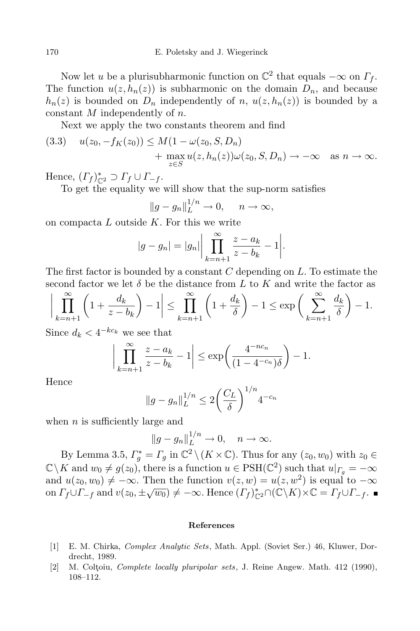Now let u be a plurisubharmonic function on  $\mathbb{C}^2$  that equals  $-\infty$  on  $\Gamma_f$ . The function  $u(z, h_n(z))$  is subharmonic on the domain  $D_n$ , and because  $h_n(z)$  is bounded on  $D_n$  independently of n,  $u(z, h_n(z))$  is bounded by a constant M independently of n.

Next we apply the two constants theorem and find

$$
(3.3) \quad u(z_0, -f_K(z_0)) \le M(1 - \omega(z_0, S, D_n)
$$

$$
+ \max_{z \in S} u(z, h_n(z))\omega(z_0, S, D_n) \to -\infty \quad \text{as } n \to \infty.
$$

Hence,  $(\Gamma_f)_{\mathbb{C}^2}^* \supset \Gamma_f \cup \Gamma_{-f}$ .

To get the equality we will show that the sup-norm satisfies

$$
||g - g_n||_L^{1/n} \to 0, \quad n \to \infty,
$$

on compacta  $L$  outside  $K$ . For this we write

$$
|g - g_n| = |g_n| \left| \prod_{k=n+1}^{\infty} \frac{z - a_k}{z - b_k} - 1 \right|.
$$

The first factor is bounded by a constant  $C$  depending on  $L$ . To estimate the second factor we let  $\delta$  be the distance from L to K and write the factor as

$$
\bigg|\prod_{k=n+1}^{\infty} \left(1 + \frac{d_k}{z - b_k}\right) - 1\bigg| \le \prod_{k=n+1}^{\infty} \left(1 + \frac{d_k}{\delta}\right) - 1 \le \exp\bigg(\sum_{k=n+1}^{\infty} \frac{d_k}{\delta}\bigg) - 1.
$$

Since  $d_k < 4^{-k c_k}$  we see that

$$
\left|\prod_{k=n+1}^{\infty} \frac{z-a_k}{z-b_k} - 1\right| \le \exp\left(\frac{4^{-nc_n}}{(1-4^{-c_n})\delta}\right) - 1.
$$

Hence

$$
||g - g_n||_L^{1/n} \leq 2\left(\frac{C_L}{\delta}\right)^{1/n} 4^{-c_n}
$$

when  $n$  is sufficiently large and

$$
||g - g_n||_L^{1/n} \to 0, \quad n \to \infty.
$$

By Lemma 3.5,  $\Gamma_g^* = \Gamma_g$  in  $\mathbb{C}^2 \setminus (K \times \mathbb{C})$ . Thus for any  $(z_0, w_0)$  with  $z_0 \in$  $\mathbb{C}\setminus K$  and  $w_0 \neq g(z_0)$ , there is a function  $u \in \text{PSH}(\mathbb{C}^2)$  such that  $u|_{\Gamma_g} = -\infty$ and  $u(z_0, w_0) \neq -\infty$ . Then the function  $v(z, w) = u(z, w^2)$  is equal to  $-\infty$ on  $\Gamma_f \cup \Gamma_{-f}$  and  $v(z_0, \pm \sqrt{w_0}) \neq -\infty$ . Hence  $(\Gamma_f)_{\mathbb{C}^2}^* \cap (\mathbb{C}\backslash K) \times \mathbb{C} = \Gamma_f \cup \Gamma_{-f}$ .

## References

- [1] E. M. Chirka, Complex Analytic Sets, Math. Appl. (Soviet Ser.) 46, Kluwer, Dordrecht, 1989.
- [2] M. Coltoiu, *Complete locally pluripolar sets*, J. Reine Angew. Math. 412 (1990), 108–112.